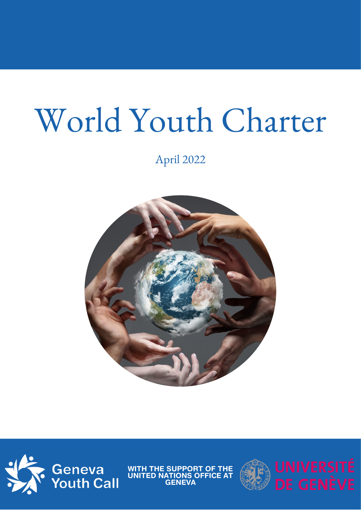# World Youth Charter

April 2022





WITH THE SUPPORT OF THE UNITED NATIONS OFFICE AT GENEVA

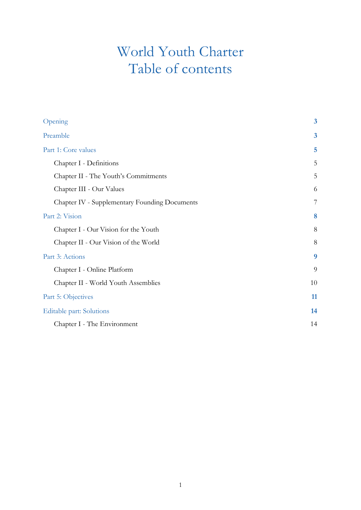## World Youth Charter Table of contents

| Opening                                       | $\overline{\mathbf{3}}$ |
|-----------------------------------------------|-------------------------|
| Preamble                                      | $\overline{\mathbf{3}}$ |
| Part 1: Core values                           | 5                       |
| Chapter I - Definitions                       | 5                       |
| Chapter II - The Youth's Commitments          | 5                       |
| Chapter III - Our Values                      | 6                       |
| Chapter IV - Supplementary Founding Documents | 7                       |
| Part 2: Vision                                | 8                       |
| Chapter I - Our Vision for the Youth          | 8                       |
| Chapter II - Our Vision of the World          | 8                       |
| Part 3: Actions                               | 9                       |
| Chapter I - Online Platform                   | 9                       |
| Chapter II - World Youth Assemblies           | 10                      |
| Part 5: Objectives                            | 11                      |
| Editable part: Solutions                      | 14                      |
| Chapter I - The Environment                   | 14                      |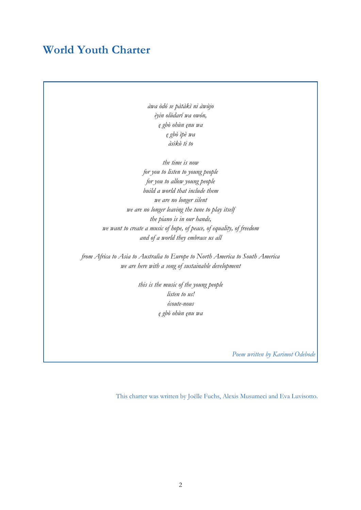## **World Youth Charter**

*àwa òdó se pàtàkì ni àwùjo èyin olùdarí wa owón, ę gbò ohùn ęnu wa ę gbò ìpè wa àsìkò ti to*

*the time is now for you to listen to young people for you to allow young people build a world that include them we are no longer silent we are no longer leaving the tune to play itself the piano is in our hands, we want to create a music of hope, of peace, of equality, of freedom and of a world they embrace us all*

*from Africa to Asia to Australia to Europe to North America to South America we are here with a song of sustainable development*

> *this is the music of the young people listen to us! écoute-nous ę gbò ohùn ęnu wa*

> > *Poem written by Karimot Odebode*

This charter was written by Joëlle Fuchs, Alexis Musumeci and Eva Luvisotto.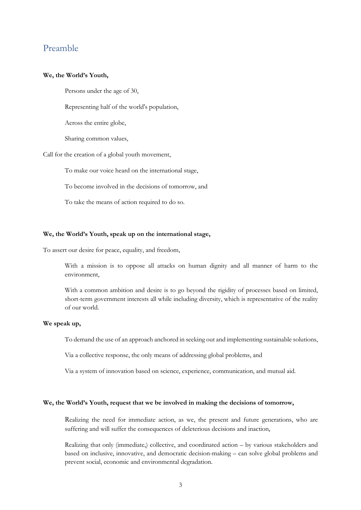### Preamble

#### **We, the World's Youth,**

Persons under the age of 30,

Representing half of the world's population,

Across the entire globe,

Sharing common values,

Call for the creation of a global youth movement,

To make our voice heard on the international stage,

To become involved in the decisions of tomorrow, and

To take the means of action required to do so.

#### **We, the World's Youth, speak up on the international stage,**

To assert our desire for peace, equality, and freedom,

With a mission is to oppose all attacks on human dignity and all manner of harm to the environment,

With a common ambition and desire is to go beyond the rigidity of processes based on limited, short-term government interests all while including diversity, which is representative of the reality of our world.

#### **We speak up,**

To demand the use of an approach anchored in seeking out and implementing sustainable solutions,

Via a collective response, the only means of addressing global problems, and

Via a system of innovation based on science, experience, communication, and mutual aid.

#### **We, the World's Youth, request that we be involved in making the decisions of tomorrow,**

Realizing the need for immediate action, as we, the present and future generations, who are suffering and will suffer the consequences of deleterious decisions and inaction,

Realizing that only (immediate,) collective, and coordinated action – by various stakeholders and based on inclusive, innovative, and democratic decision-making – can solve global problems and prevent social, economic and environmental degradation.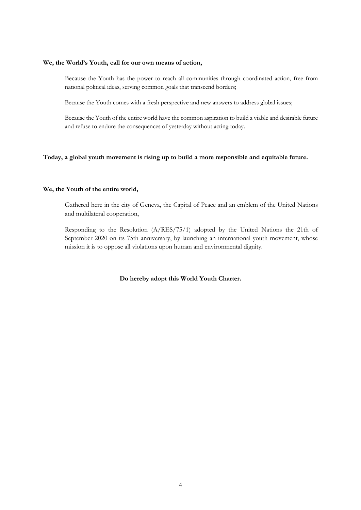#### **We, the World's Youth, call for our own means of action,**

Because the Youth has the power to reach all communities through coordinated action, free from national political ideas, serving common goals that transcend borders;

Because the Youth comes with a fresh perspective and new answers to address global issues;

Because the Youth of the entire world have the common aspiration to build a viable and desirable future and refuse to endure the consequences of yesterday without acting today.

#### **Today, a global youth movement is rising up to build a more responsible and equitable future.**

#### **We, the Youth of the entire world,**

Gathered here in the city of Geneva, the Capital of Peace and an emblem of the United Nations and multilateral cooperation,

Responding to the Resolution (A/RES/75/1) adopted by the United Nations the 21th of September 2020 on its 75th anniversary, by launching an international youth movement, whose mission it is to oppose all violations upon human and environmental dignity.

**Do hereby adopt this World Youth Charter.**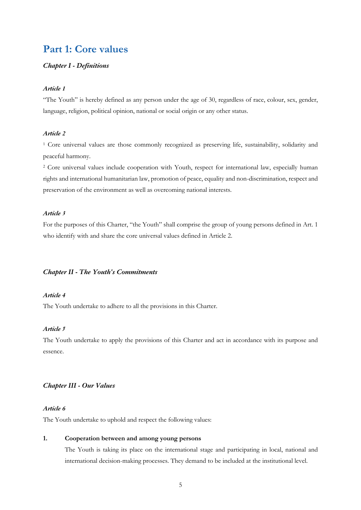## **Part 1: Core values**

#### *Chapter I - Definitions*

#### *Article 1*

"The Youth" is hereby defined as any person under the age of 30, regardless of race, colour, sex, gender, language, religion, political opinion, national or social origin or any other status.

#### *Article 2*

<sup>1</sup> Core universal values are those commonly recognized as preserving life, sustainability, solidarity and peaceful harmony.

<sup>2</sup> Core universal values include cooperation with Youth, respect for international law, especially human rights and international humanitarian law, promotion of peace, equality and non-discrimination, respect and preservation of the environment as well as overcoming national interests.

#### *Article 3*

For the purposes of this Charter, "the Youth" shall comprise the group of young persons defined in Art. 1 who identify with and share the core universal values defined in Article 2.

#### *Chapter II - The Youth's Commitments*

#### *Article 4*

The Youth undertake to adhere to all the provisions in this Charter.

#### *Article 5*

The Youth undertake to apply the provisions of this Charter and act in accordance with its purpose and essence.

#### *Chapter III - Our Values*

#### *Article 6*

The Youth undertake to uphold and respect the following values:

#### **1. Cooperation between and among young persons**

The Youth is taking its place on the international stage and participating in local, national and international decision-making processes. They demand to be included at the institutional level.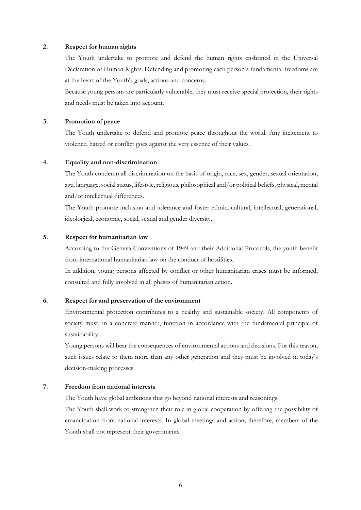#### **2. Respect for human rights**

The Youth undertake to promote and defend the human rights enshrined in the Universal Declaration of Human Rights. Defending and promoting each person's fundamental freedoms are at the heart of the Youth's goals, actions and concerns.

Because young persons are particularly vulnerable, they must receive special protection, their rights and needs must be taken into account.

#### **3. Promotion of peace**

The Youth undertake to defend and promote peace throughout the world. Any incitement to violence, hatred or conflict goes against the very essence of their values.

#### **4. Equality and non-discrimination**

The Youth condemn all discrimination on the basis of origin, race, sex, gender, sexual orientation, age, language, social status, lifestyle, religious, philosophical and/or political beliefs, physical, mental and/or intellectual differences.

The Youth promote inclusion and tolerance and foster ethnic, cultural, intellectual, generational, ideological, economic, social, sexual and gender diversity.

#### **5. Respect for humanitarian law**

According to the Geneva Conventions of 1949 and their Additional Protocols, the youth benefit from international humanitarian law on the conduct of hostilities.

In addition, young persons affected by conflict or other humanitarian crises must be informed, consulted and fully involved in all phases of humanitarian action.

#### **6. Respect for and preservation of the environment**

Environmental protection contributes to a healthy and sustainable society. All components of society must, in a concrete manner, function in accordance with the fundamental principle of sustainability.

Young persons will bear the consequences of environmental actions and decisions. For this reason, such issues relate to them more than any other generation and they must be involved in today's decision-making processes.

#### **7. Freedom from national interests**

The Youth have global ambitions that go beyond national interests and reasonings.

The Youth shall work to strengthen their role in global cooperation by offering the possibility of emancipation from national interests. In global meetings and action, therefore, members of the Youth shall not represent their governments.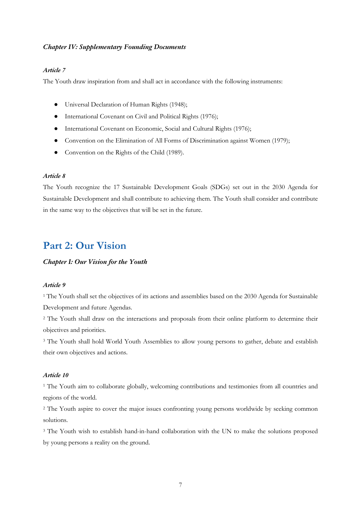#### *Chapter IV: Supplementary Founding Documents*

#### *Article 7*

The Youth draw inspiration from and shall act in accordance with the following instruments:

- Universal Declaration of Human Rights (1948);
- International Covenant on Civil and Political Rights (1976);
- International Covenant on Economic, Social and Cultural Rights (1976);
- Convention on the Elimination of All Forms of Discrimination against Women (1979);
- Convention on the Rights of the Child (1989).

#### *Article 8*

The Youth recognize the 17 Sustainable Development Goals (SDGs) set out in the 2030 Agenda for Sustainable Development and shall contribute to achieving them. The Youth shall consider and contribute in the same way to the objectives that will be set in the future.

## **Part 2: Our Vision**

#### *Chapter I: Our Vision for the Youth*

#### *Article 9*

<sup>1</sup> The Youth shall set the objectives of its actions and assemblies based on the 2030 Agenda for Sustainable Development and future Agendas.

<sup>2</sup> The Youth shall draw on the interactions and proposals from their online platform to determine their objectives and priorities.

<sup>3</sup> The Youth shall hold World Youth Assemblies to allow young persons to gather, debate and establish their own objectives and actions.

#### *Article 10*

<sup>1</sup> The Youth aim to collaborate globally, welcoming contributions and testimonies from all countries and regions of the world.

<sup>2</sup> The Youth aspire to cover the major issues confronting young persons worldwide by seeking common solutions.

<sup>3</sup> The Youth wish to establish hand-in-hand collaboration with the UN to make the solutions proposed by young persons a reality on the ground.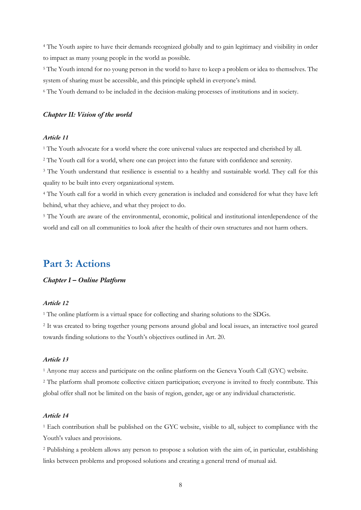<sup>4</sup> The Youth aspire to have their demands recognized globally and to gain legitimacy and visibility in order to impact as many young people in the world as possible.

<sup>5</sup> The Youth intend for no young person in the world to have to keep a problem or idea to themselves. The system of sharing must be accessible, and this principle upheld in everyone's mind.

<sup>6</sup> The Youth demand to be included in the decision-making processes of institutions and in society.

#### *Chapter II: Vision of the world*

#### *Article 11*

<sup>1</sup> The Youth advocate for a world where the core universal values are respected and cherished by all.

<sup>2</sup> The Youth call for a world, where one can project into the future with confidence and serenity.

<sup>3</sup> The Youth understand that resilience is essential to a healthy and sustainable world. They call for this quality to be built into every organizational system.

<sup>4</sup> The Youth call for a world in which every generation is included and considered for what they have left behind, what they achieve, and what they project to do.

<sup>5</sup> The Youth are aware of the environmental, economic, political and institutional interdependence of the world and call on all communities to look after the health of their own structures and not harm others.

## **Part 3: Actions**

#### *Chapter I – Online Platform*

#### *Article 12*

<sup>1</sup> The online platform is a virtual space for collecting and sharing solutions to the SDGs.

<sup>2</sup> It was created to bring together young persons around global and local issues, an interactive tool geared towards finding solutions to the Youth's objectives outlined in Art. 20.

#### *Article 13*

<sup>1</sup> Anyone may access and participate on the online platform on the Geneva Youth Call (GYC) website.

<sup>2</sup> The platform shall promote collective citizen participation; everyone is invited to freely contribute. This global offer shall not be limited on the basis of region, gender, age or any individual characteristic.

#### *Article 14*

<sup>1</sup> Each contribution shall be published on the GYC website, visible to all, subject to compliance with the Youth's values and provisions.

<sup>2</sup> Publishing a problem allows any person to propose a solution with the aim of, in particular, establishing links between problems and proposed solutions and creating a general trend of mutual aid.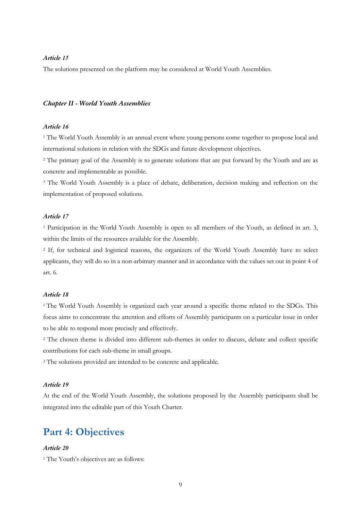#### *Article 15*

The solutions presented on the platform may be considered at World Youth Assemblies.

#### *Chapter II - World Youth Assemblies*

#### *Article 16*

<sup>1</sup> The World Youth Assembly is an annual event where young persons come together to propose local and international solutions in relation with the SDGs and future development objectives.

<sup>2</sup> The primary goal of the Assembly is to generate solutions that are put forward by the Youth and are as concrete and implementable as possible.

<sup>3</sup> The World Youth Assembly is a place of debate, deliberation, decision making and reflection on the implementation of proposed solutions.

#### *Article 17*

<sup>1</sup> Participation in the World Youth Assembly is open to all members of the Youth, as defined in art. 3, within the limits of the resources available for the Assembly.

<sup>2</sup> If, for technical and logistical reasons, the organizers of the World Youth Assembly have to select applicants, they will do so in a non-arbitrary manner and in accordance with the values set out in point 4 of art. 6.

#### *Article 18*

<sup>1</sup> The World Youth Assembly is organized each year around a specific theme related to the SDGs. This focus aims to concentrate the attention and efforts of Assembly participants on a particular issue in order to be able to respond more precisely and effectively.

<sup>2</sup> The chosen theme is divided into different sub-themes in order to discuss, debate and collect specific contributions for each sub-theme in small groups.

<sup>3</sup> The solutions provided are intended to be concrete and applicable.

#### *Article 19*

At the end of the World Youth Assembly, the solutions proposed by the Assembly participants shall be integrated into the editable part of this Youth Charter.

## **Part 4: Objectives**

#### *Article 20*

<sup>1</sup> The Youth's objectives are as follows: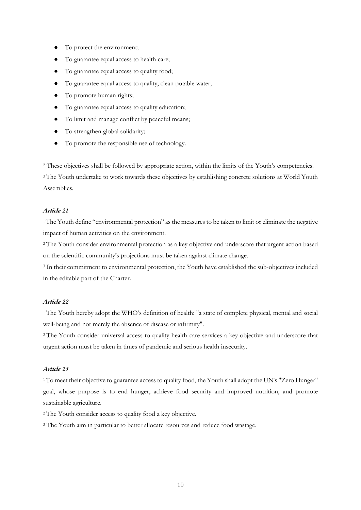- To protect the environment;
- To guarantee equal access to health care;
- To guarantee equal access to quality food;
- To guarantee equal access to quality, clean potable water;
- To promote human rights;
- To guarantee equal access to quality education;
- To limit and manage conflict by peaceful means;
- To strengthen global solidarity;
- To promote the responsible use of technology.

<sup>2</sup> These objectives shall be followed by appropriate action, within the limits of the Youth's competencies.

<sup>3</sup>The Youth undertake to work towards these objectives by establishing concrete solutions at World Youth Assemblies.

#### *Article 21*

1The Youth define "environmental protection" as the measures to be taken to limit or eliminate the negative impact of human activities on the environment.

<sup>2</sup> The Youth consider environmental protection as a key objective and underscore that urgent action based on the scientific community's projections must be taken against climate change.

<sup>3</sup> In their commitment to environmental protection, the Youth have established the sub-objectives included in the editable part of the Charter.

#### *Article 22*

<sup>1</sup> The Youth hereby adopt the WHO's definition of health: "a state of complete physical, mental and social well-being and not merely the absence of disease or infirmity".

<sup>2</sup> The Youth consider universal access to quality health care services a key objective and underscore that urgent action must be taken in times of pandemic and serious health insecurity.

#### *Article 23*

<sup>1</sup>To meet their objective to guarantee access to quality food, the Youth shall adopt the UN's "Zero Hunger" goal, whose purpose is to end hunger, achieve food security and improved nutrition, and promote sustainable agriculture.

<sup>2</sup> The Youth consider access to quality food a key objective.

<sup>3</sup> The Youth aim in particular to better allocate resources and reduce food wastage.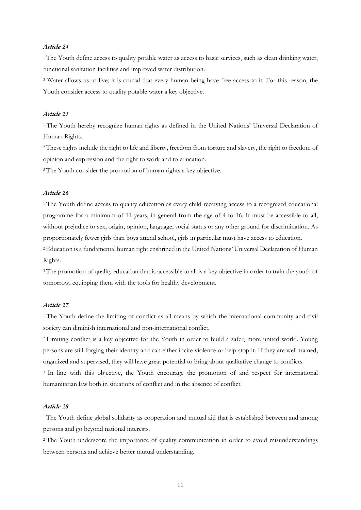#### *Article 24*

<sup>1</sup> The Youth define access to quality potable water as access to basic services, such as clean drinking water, functional sanitation facilities and improved water distribution.

<sup>2</sup> Water allows us to live; it is crucial that every human being have free access to it. For this reason, the Youth consider access to quality potable water a key objective.

#### *Article 25*

<sup>1</sup> The Youth hereby recognize human rights as defined in the United Nations' Universal Declaration of Human Rights.

2These rights include the right to life and liberty, freedom from torture and slavery, the right to freedom of opinion and expression and the right to work and to education.

<sup>3</sup> The Youth consider the promotion of human rights a key objective.

#### *Article 26*

<sup>1</sup> The Youth define access to quality education as every child receiving access to a recognized educational programme for a minimum of 11 years, in general from the age of 4 to 16. It must be accessible to all, without prejudice to sex, origin, opinion, language, social status or any other ground for discrimination. As proportionately fewer girls than boys attend school, girls in particular must have access to education.

2Education is a fundamental human right enshrined in the United Nations' Universal Declaration of Human Rights.

<sup>3</sup>The promotion of quality education that is accessible to all is a key objective in order to train the youth of tomorrow, equipping them with the tools for healthy development.

#### *Article 27*

<sup>1</sup> The Youth define the limiting of conflict as all means by which the international community and civil society can diminish international and non-international conflict.

<sup>2</sup> Limiting conflict is a key objective for the Youth in order to build a safer, more united world. Young persons are still forging their identity and can either incite violence or help stop it. If they are well trained, organized and supervised, they will have great potential to bring about qualitative change to conflicts.

<sup>3</sup> In line with this objective, the Youth encourage the promotion of and respect for international humanitarian law both in situations of conflict and in the absence of conflict.

#### *Article 28*

<sup>1</sup> The Youth define global solidarity as cooperation and mutual aid that is established between and among persons and go beyond national interests.

<sup>2</sup> The Youth underscore the importance of quality communication in order to avoid misunderstandings between persons and achieve better mutual understanding.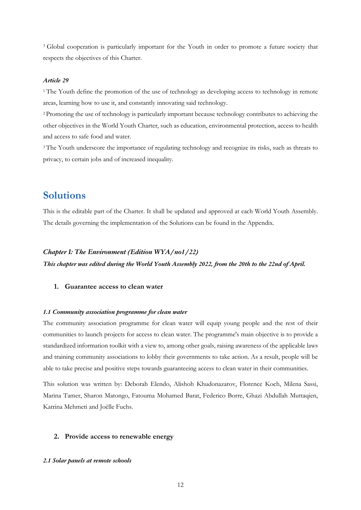<sup>3</sup> Global cooperation is particularly important for the Youth in order to promote a future society that respects the objectives of this Charter.

#### *Article 29*

<sup>1</sup> The Youth define the promotion of the use of technology as developing access to technology in remote areas, learning how to use it, and constantly innovating said technology.

<sup>2</sup> Promoting the use of technology is particularly important because technology contributes to achieving the other objectives in the World Youth Charter, such as education, environmental protection, access to health and access to safe food and water.

<sup>3</sup> The Youth underscore the importance of regulating technology and recognize its risks, such as threats to privacy, to certain jobs and of increased inequality.

## **Solutions**

This is the editable part of the Charter. It shall be updated and approved at each World Youth Assembly. The details governing the implementation of the Solutions can be found in the Appendix.

#### *Chapter I: The Environment (Edition WYA/no1/22)*

*This chapter was edited during the World Youth Assembly 2022, from the 20th to the 22nd of April.*

#### **1. Guarantee access to clean water**

#### *1.1 Community association programme for clean water*

The community association programme for clean water will equip young people and the rest of their communities to launch projects for access to clean water. The programme's main objective is to provide a standardized information toolkit with a view to, among other goals, raising awareness of the applicable laws and training community associations to lobby their governments to take action. As a result, people will be able to take precise and positive steps towards guaranteeing access to clean water in their communities.

This solution was written by: Deborah Elendo, Alishoh Khudonazarov, Florence Koch, Milena Sassi, Marina Tamer, Sharon Matongo, Fatouma Mohamed Barat, Federico Borre, Ghazi Abdullah Muttaqien, Katrina Mehmeti and Joëlle Fuchs.

#### **2. Provide access to renewable energy**

#### *2.1 Solar panels at remote schools*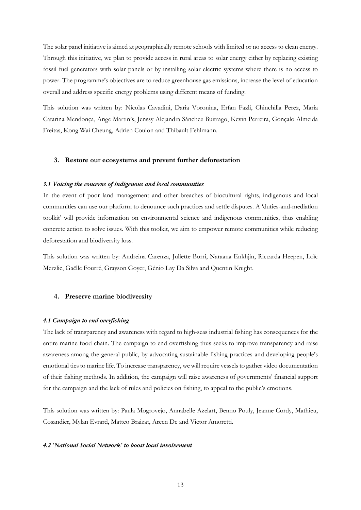The solar panel initiative is aimed at geographically remote schools with limited or no access to clean energy. Through this initiative, we plan to provide access in rural areas to solar energy either by replacing existing fossil fuel generators with solar panels or by installing solar electric systems where there is no access to power. The programme's objectives are to reduce greenhouse gas emissions, increase the level of education overall and address specific energy problems using different means of funding.

This solution was written by: Nicolas Cavadini, Daria Voronina, Erfan Fazli, Chinchilla Perez, Maria Catarina Mendonça, Ange Martin's, Jenssy Alejandra Sánchez Buitrago, Kevin Perreira, Gonçalo Almeida Freitas, Kong Wai Cheung, Adrien Coulon and Thibault Fehlmann.

#### **3. Restore our ecosystems and prevent further deforestation**

#### *3.1 Voicing the concerns of indigenous and local communities*

In the event of poor land management and other breaches of biocultural rights, indigenous and local communities can use our platform to denounce such practices and settle disputes. A 'duties-and-mediation toolkit' will provide information on environmental science and indigenous communities, thus enabling concrete action to solve issues. With this toolkit, we aim to empower remote communities while reducing deforestation and biodiversity loss.

This solution was written by: Andreina Carenza, Juliette Borri, Naraana Enkhjin, Riccarda Heepen, Loïc Merzlic, Gaëlle Fourré, Grayson Goyer, Génio Lay Da Silva and Quentin Knight.

#### **4. Preserve marine biodiversity**

#### *4.1 Campaign to end overfishing*

The lack of transparency and awareness with regard to high-seas industrial fishing has consequences for the entire marine food chain. The campaign to end overfishing thus seeks to improve transparency and raise awareness among the general public, by advocating sustainable fishing practices and developing people's emotional ties to marine life. To increase transparency, we will require vessels to gather video documentation of their fishing methods. In addition, the campaign will raise awareness of governments' financial support for the campaign and the lack of rules and policies on fishing, to appeal to the public's emotions.

This solution was written by: Paula Mogrovejo, Annabelle Azelart, Benno Pouly, Jeanne Cordy, Mathieu, Cosandier, Mylan Evrard, Matteo Braizat, Areen De and Victor Amoretti.

#### *4.2 'National Social Network' to boost local involvement*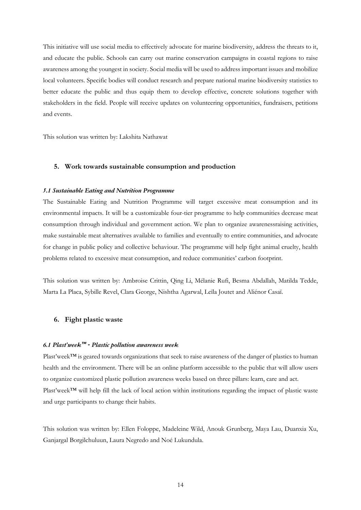This initiative will use social media to effectively advocate for marine biodiversity, address the threats to it, and educate the public. Schools can carry out marine conservation campaigns in coastal regions to raise awareness among the youngest in society. Social media will be used to address important issues and mobilize local volunteers. Specific bodies will conduct research and prepare national marine biodiversity statistics to better educate the public and thus equip them to develop effective, concrete solutions together with stakeholders in the field. People will receive updates on volunteering opportunities, fundraisers, petitions and events.

This solution was written by: Lakshita Nathawat

#### **5. Work towards sustainable consumption and production**

#### *5.1 Sustainable Eating and Nutrition Programme*

The Sustainable Eating and Nutrition Programme will target excessive meat consumption and its environmental impacts. It will be a customizable four-tier programme to help communities decrease meat consumption through individual and government action. We plan to organize awarenessraising activities, make sustainable meat alternatives available to families and eventually to entire communities, and advocate for change in public policy and collective behaviour. The programme will help fight animal cruelty, health problems related to excessive meat consumption, and reduce communities' carbon footprint.

This solution was written by: Ambroise Crittin, Qing Li, Mélanie Rufi, Besma Abdallah, Matilda Tedde, Marta La Placa, Sybille Revel, Clara George, Nishtha Agarwal, Leïla Joutet and Aliénor Casaï.

#### **6. Fight plastic waste**

#### *6.1 Plast'week™ - Plastic pollution awareness week*

Plast'week™ is geared towards organizations that seek to raise awareness of the danger of plastics to human health and the environment. There will be an online platform accessible to the public that will allow users to organize customized plastic pollution awareness weeks based on three pillars: learn, care and act. Plast'week™ will help fill the lack of local action within institutions regarding the impact of plastic waste and urge participants to change their habits.

This solution was written by: Ellen Foloppe, Madeleine Wild, Anouk Grunberg, Maya Lau, Duanxia Xu, Ganjargal Borgilchuluun, Laura Negredo and Noé Lukundula.